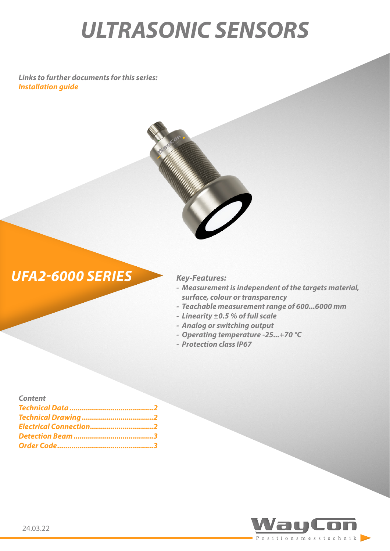# *ULTRASONIC SENSORS*

*Links to further documents for this series: [Installation guide](https://www.waycon.de/fileadmin/ultrasonic-sensors/Ultrasonic-Sensor-UFA2-Installation-Guide.pdf)*





- *- Measurement is independent of the targets material, surface, colour or transparency*
- *- Teachable measurement range of 600...6000 mm*
- *- Linearity ±0.5 % of full scale*
- *- Analog or switching output*
- *- Operating temperature -25...+70 °C*
- *- Protection class IP67*

| <b>Content</b>         |  |
|------------------------|--|
|                        |  |
|                        |  |
| Electrical Connection2 |  |
|                        |  |
|                        |  |

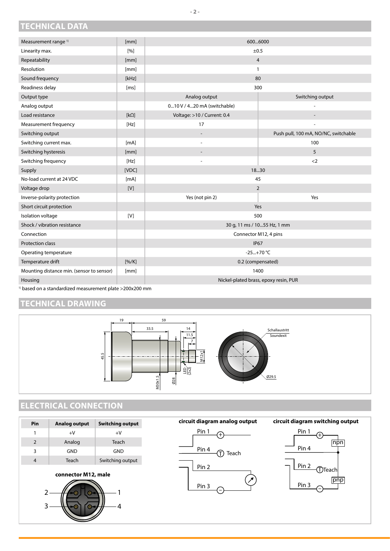### <span id="page-1-0"></span>**TECHNICAL DATA**

| Measurement range <sup>1)</sup>           | [mm]                | 6006000                               |                                      |  |
|-------------------------------------------|---------------------|---------------------------------------|--------------------------------------|--|
| Linearity max.                            | $\lceil 9/6 \rceil$ | ±0.5                                  |                                      |  |
| Repeatability                             | [mm]                | $\overline{4}$                        |                                      |  |
| Resolution                                | [mm]                | 1                                     |                                      |  |
| Sound frequency                           | [kHz]               | 80                                    |                                      |  |
| Readiness delay                           | [ms]                | 300                                   |                                      |  |
| Output type                               |                     | Analog output                         | Switching output                     |  |
| Analog output                             |                     | 010 V / 420 mA (switchable)           |                                      |  |
| Load resistance                           | $[k\Omega]$         | Voltage: >10 / Current: 0.4           |                                      |  |
| Measurement frequency                     | [Hz]                | 17                                    |                                      |  |
| Switching output                          |                     | $\overline{a}$                        | Push pull, 100 mA, NO/NC, switchable |  |
| Switching current max.                    | [mA]                | $\overline{a}$                        | 100                                  |  |
| Switching hysteresis                      | [mm]                | $\overline{\phantom{a}}$              | 5                                    |  |
| Switching frequency                       | [Hz]                |                                       | $2$                                  |  |
| Supply                                    | [VDC]               | 1830                                  |                                      |  |
| No-load current at 24 VDC                 | [mA]                | 45                                    |                                      |  |
| Voltage drop                              | [V]                 | $\overline{2}$                        |                                      |  |
| Inverse-polarity protection               |                     | Yes (not pin 2)                       | Yes                                  |  |
| Short circuit protection                  |                     | Yes                                   |                                      |  |
| Isolation voltage                         | [V]                 | 500                                   |                                      |  |
| Shock / vibration resistance              |                     | 30 g, 11 ms / 1055 Hz, 1 mm           |                                      |  |
| Connection                                |                     | Connector M12, 4 pins                 |                                      |  |
| Protection class                          |                     | <b>IP67</b>                           |                                      |  |
| Operating temperature                     |                     | $-25+70 °C$                           |                                      |  |
| Temperature drift                         | $[% / K]$           | 0.2 (compensated)                     |                                      |  |
| Mounting distance min. (sensor to sensor) | [mm]                | 1400                                  |                                      |  |
| Housing                                   |                     | Nickel-plated brass, epoxy resin, PUR |                                      |  |

1) based on a standardized measurement plate >200x200 mm

#### **TECHNICAL DRAWING**



## **ELECTRICAL CONNECTION**